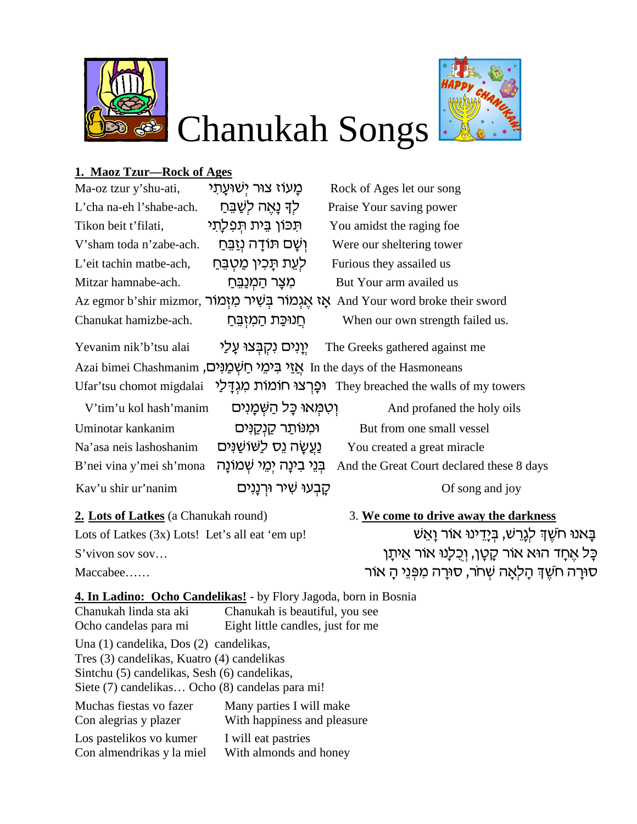

# Chanukah Songs



### 1. Maoz Tzur-Rock of Ages

| Ma-oz tzur y'shu-ati,                                                                | מַעוֹז צוּר יִשׁוּעַתִי                       | Rock of Ages let our song                                                              |
|--------------------------------------------------------------------------------------|-----------------------------------------------|----------------------------------------------------------------------------------------|
| L'cha na-eh l'shabe-ach.                                                             | ּלִדְ נָאֵה לְשַׁבֵּחַ                        | Praise Your saving power                                                               |
| Tikon beit t'filati,                                                                 | תִּכוֹן בֵית תִּפְלַתִי                       | You amidst the raging foe                                                              |
| V'sham toda n'zabe-ach.                                                              | וִשָּׁם תּוֹדָה נִזַּבֵּחַ                    | Were our sheltering tower                                                              |
| L'eit tachin matbe-ach,                                                              | לְעֵת תַ <i>ּבְין מַטְבֵּח</i> ַ              | Furious they assailed us                                                               |
| Mitzar hamnabe-ach.                                                                  | מִצָר הַמְנַבֵּחַ                             | But Your arm availed us                                                                |
|                                                                                      |                                               | Az egmor b'shir mizmor, אָז אֵגְמוֹר בִּשְׁיר מִזְמוֹר And Your word broke their sword |
| Chanukat hamizbe-ach.                                                                | ּחֵנוּכַּת הַמְזָבֵּחַ                        | When our own strength failed us.                                                       |
| Yevanim nik'b'tsu alai                                                               | יֵוַנִים נִקְבִּצוּ עָלַי                     | The Greeks gathered against me                                                         |
|                                                                                      |                                               | Azai bimei Chashmanim אֲזֵי בִימֵי חַשְׁמַנִּים, In the days of the Hasmoneans         |
| Ufar'tsu chomot migdalai                                                             |                                               | יִפְרְצוּ חוֹמוֹת מִגְדָלַי They breached the walls of my towers                       |
| V'tim'u kol hash'manim                                                               | וְטְמְּאוּ כַּל הַשְׁמַנִים                   | And profaned the holy oils                                                             |
| Uminotar kankanim                                                                    | וּמִנּוֹתַר קַנְקַנִּים                       | But from one small vessel                                                              |
| Na'asa neis lashoshanim                                                              | ַנַּעֲשָׂה נֵס לַשּׁוֹשַׁנִּים                | You created a great miracle                                                            |
| B'nei vina y'mei sh'mona                                                             | בִּנֵי בִינָה יְמֵי שָׁמוֹנָה                 | And the Great Court declared these 8 days                                              |
| Kav'u shir ur'nanim                                                                  | קַבְעוּ שִׁיר וּרְנַנִים                      | Of song and joy                                                                        |
| 2. Lots of Latkes (a Chanukah round)                                                 |                                               | 3. We come to drive away the darkness                                                  |
| Lots of Latkes $(3x)$ Lots! Let's all eat 'em up!                                    |                                               | ַבַּאנוּ חֹשֵׁךְ לִגָּרֵשׁ, בְּיָדֵינוּ אוֹר וַאֵשׁ                                    |
| S'vivon sov sov                                                                      |                                               | ָּכָּל אֵחָד הוּא אוֹר קָטָן, וְכָלְנוּ אוֹר אֵיתָן                                    |
| Maccabee                                                                             |                                               | ּסוּרַה חֹשֵׁךְ הַלְאַה שָׁחֹר, סוּרַה מִפְּנֵי הַ אוֹר                                |
| <b>4. In Ladino: Ocho Candelikas!</b> - by Flory Jagoda, born in Bosnia              |                                               |                                                                                        |
| Chanukah linda sta aki                                                               | Chanukah is beautiful, you see                |                                                                                        |
| Ocho candelas para mi                                                                | Eight little candles, just for me             |                                                                                        |
| Una (1) candelika, Dos (2) candelikas,<br>Tres (3) candelikas, Kuatro (4) candelikas |                                               |                                                                                        |
| Sintchu (5) candelikas, Sesh (6) candelikas,                                         |                                               |                                                                                        |
| Siete (7) candelikas Ocho (8) candelas para mi!                                      |                                               |                                                                                        |
| Muchas fiestas vo fazer                                                              | Many parties I will make                      |                                                                                        |
| Con alegrias y plazer                                                                | With happiness and pleasure                   |                                                                                        |
| Los pastelikos vo kumer<br>Con almendrikas y la miel                                 | I will eat pastries<br>With almonds and honey |                                                                                        |